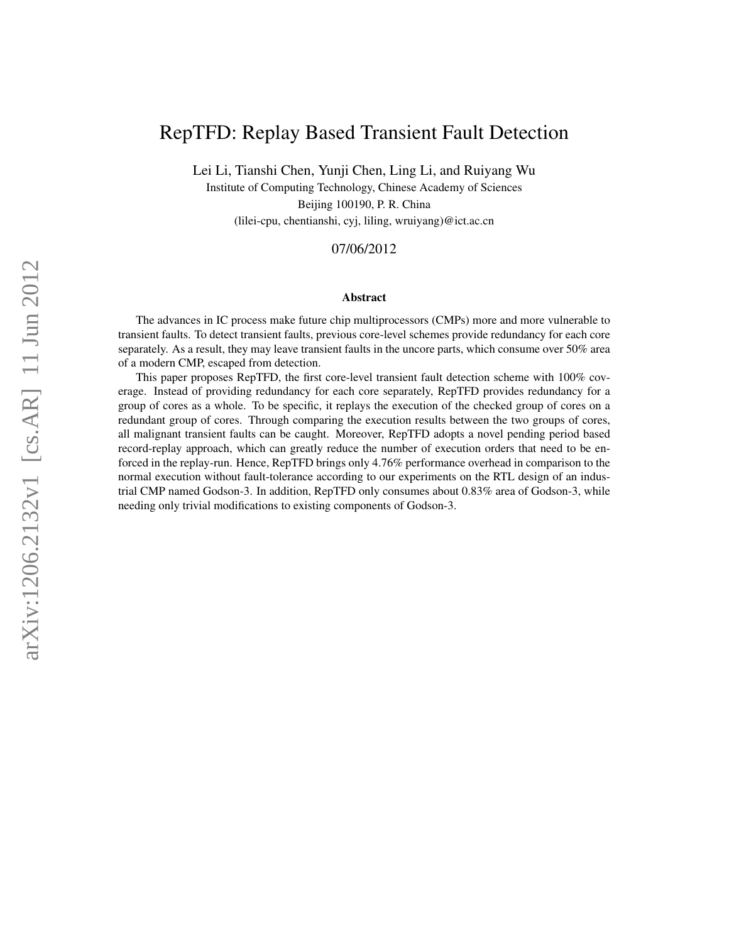# RepTFD: Replay Based Transient Fault Detection

Lei Li, Tianshi Chen, Yunji Chen, Ling Li, and Ruiyang Wu

Institute of Computing Technology, Chinese Academy of Sciences Beijing 100190, P. R. China (lilei-cpu, chentianshi, cyj, liling, wruiyang)@ict.ac.cn

### 07/06/2012

#### Abstract

The advances in IC process make future chip multiprocessors (CMPs) more and more vulnerable to transient faults. To detect transient faults, previous core-level schemes provide redundancy for each core separately. As a result, they may leave transient faults in the uncore parts, which consume over 50% area of a modern CMP, escaped from detection.

This paper proposes RepTFD, the first core-level transient fault detection scheme with 100% coverage. Instead of providing redundancy for each core separately, RepTFD provides redundancy for a group of cores as a whole. To be specific, it replays the execution of the checked group of cores on a redundant group of cores. Through comparing the execution results between the two groups of cores, all malignant transient faults can be caught. Moreover, RepTFD adopts a novel pending period based record-replay approach, which can greatly reduce the number of execution orders that need to be enforced in the replay-run. Hence, RepTFD brings only 4.76% performance overhead in comparison to the normal execution without fault-tolerance according to our experiments on the RTL design of an industrial CMP named Godson-3. In addition, RepTFD only consumes about 0.83% area of Godson-3, while needing only trivial modifications to existing components of Godson-3.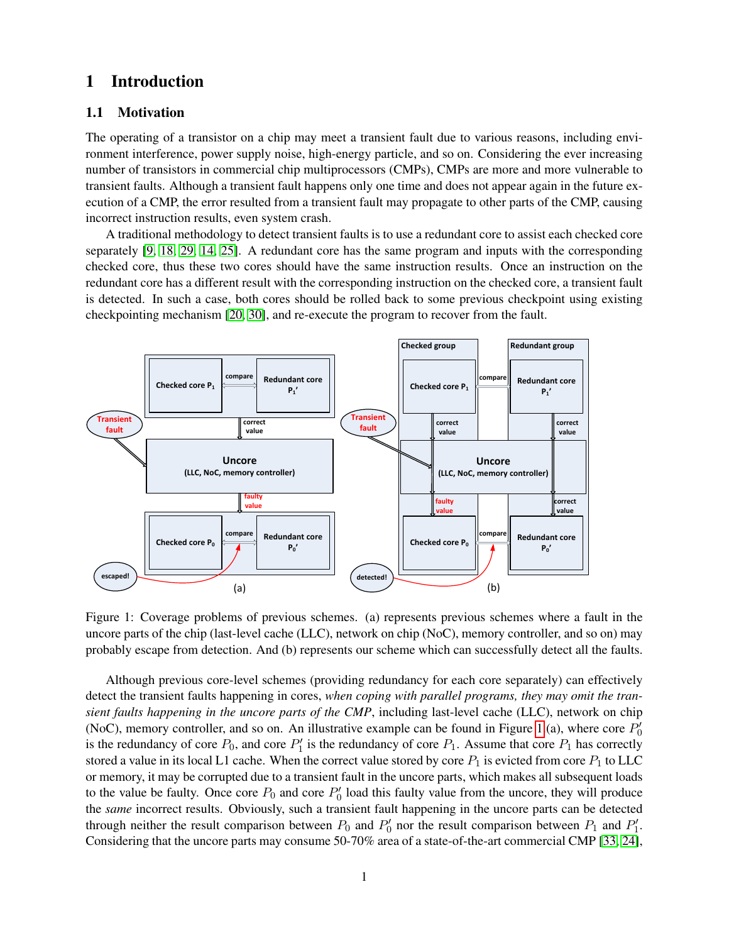## 1 Introduction

#### 1.1 Motivation

The operating of a transistor on a chip may meet a transient fault due to various reasons, including environment interference, power supply noise, high-energy particle, and so on. Considering the ever increasing number of transistors in commercial chip multiprocessors (CMPs), CMPs are more and more vulnerable to transient faults. Although a transient fault happens only one time and does not appear again in the future execution of a CMP, the error resulted from a transient fault may propagate to other parts of the CMP, causing incorrect instruction results, even system crash. **(LLC, NoC, memory controller)**

A traditional methodology to detect transient faults is to use a redundant core to assist each checked core separately  $[9, 18, 29, 14, 25]$  $[9, 18, 29, 14, 25]$  $[9, 18, 29, 14, 25]$  $[9, 18, 29, 14, 25]$  $[9, 18, 29, 14, 25]$ . A redundant core has the same program and inputs with the corresponding checked core, thus these two cores should have the same instruction results. Once an instruction on the redundant core has a different result with the corresponding instruction on the checked core, a transient fault **Redundant core**  is detected. In such a case, both cores should be rolled back to some previous checkpoint using existing checkpointing mechanism [\[20,](#page-20-3) [30\]](#page-21-1), and re-execute the program to recover from the fault. fruction on the checked core



<span id="page-1-0"></span>Figure 1: Coverage problems of previous schemes. (a) represents previous schemes where a fault in the  $\mathbf{H}$   $\mathbf{A}$  (**h**) room **P1'** probably escape from detection. And (b) represents our scheme which can successfully detect all the faults. uncore parts of the chip (last-level cache (LLC), network on chip (NoC), memory controller, and so on) may

**Redundant core**  the *same* incorrect results. Obviously, such a transient fault happening in the uncore parts can be detected to the value be faulty. Once core  $P_0$  and core  $P'_0$  load this faulty value from the uncore, they will produce (NoC), memory controller, and so on. An illustrative example can be found in Figure [1.](#page-1-0)(a), where core  $P'_0$ is the redundancy of core  $P_0$ , and core  $P'_1$  is the redundancy of core  $P_1$ . Assume that core  $P_1$  has correctly Although previous core-level schemes (providing redundancy for each core separately) can effectively detect the transient faults happening in cores, *when coping with parallel programs, they may omit the tran-*Considering that the uncore parts may consume 50-70% area of a state-of-the-art commercial CMP [\[33,](#page-21-2) [24\]](#page-20-4),  $\ddot{\phantom{0}}$ stored a value in its local L1 cache. When the correct value stored by core  $P_1$  is evicted from core  $P_1$  to LLC or memory, it may be corrupted due to a transient fault in the uncore parts, which makes all subsequent loads *sient faults happening in the uncore parts of the CMP*, including last-level cache (LLC), network on chip through neither the result comparison between  $P_0$  and  $P'_0$  nor the result comparison between  $P_1$  and  $P'_1$ .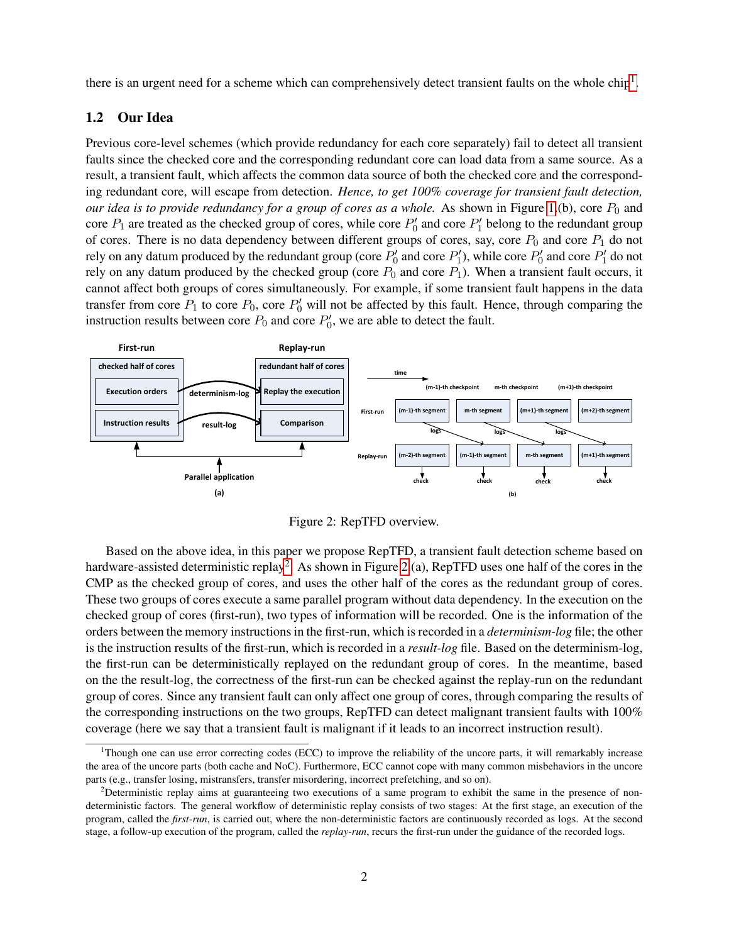there is an urgent need for a scheme which can comprehensively detect transient faults on the whole chip<sup>[1](#page-2-0)</sup>.

### 1.2 Our Idea

Previous core-level schemes (which provide redundancy for each core separately) fail to detect all transient faults since the checked core and the corresponding redundant core can load data from a same source. As a result, a transient fault, which affects the common data source of both the checked core and the corresponding redundant core, will escape from detection. *Hence, to get 100% coverage for transient fault detection, our idea is to provide redundancy for a group of cores as a whole.* As shown in Figure [1.](#page-1-0)(b), core  $P_0$  and core  $P_1$  are treated as the checked group of cores, while core  $P'_0$  and core  $P'_1$  belong to the redundant group of cores. There is no data dependency between different groups of cores, say, core  $P_0$  and core  $P_1$  do not rely on any datum produced by the redundant group (core  $P'_0$  and core  $P'_1$ ), while core  $P'_0$  and core  $P'_1$  do not rely on any datum produced by the checked group (core  $P_0$  and core  $P_1$ ). When a transient fault occurs, it cannot affect both groups of cores simultaneously. For example, if some transient fault happens in the data transfer from core  $P_1$  to core  $P_0$ , core  $P'_0$  will not be affected by this fault. Hence, through comparing the instruction results between core  $P_0$  and core  $P'_0$ , we are able to detect the fault.



<span id="page-2-2"></span>Figure 2: RepTFD overview.

Based on the above idea, in this paper we propose RepTFD, a transient fault detection scheme based on hardware-assisted deterministic replay<sup>[2](#page-2-1)</sup>. As shown in Figure [2.](#page-2-2)(a), RepTFD uses one half of the cores in the CMP as the checked group of cores, and uses the other half of the cores as the redundant group of cores. These two groups of cores execute a same parallel program without data dependency. In the execution on the checked group of cores (first-run), two types of information will be recorded. One is the information of the orders between the memory instructions in the first-run, which is recorded in a *determinism-log* file; the other is the instruction results of the first-run, which is recorded in a *result-log* file. Based on the determinism-log, the first-run can be deterministically replayed on the redundant group of cores. In the meantime, based on the the result-log, the correctness of the first-run can be checked against the replay-run on the redundant group of cores. Since any transient fault can only affect one group of cores, through comparing the results of the corresponding instructions on the two groups, RepTFD can detect malignant transient faults with 100% coverage (here we say that a transient fault is malignant if it leads to an incorrect instruction result).

<span id="page-2-0"></span><sup>1</sup>Though one can use error correcting codes (ECC) to improve the reliability of the uncore parts, it will remarkably increase the area of the uncore parts (both cache and NoC). Furthermore, ECC cannot cope with many common misbehaviors in the uncore parts (e.g., transfer losing, mistransfers, transfer misordering, incorrect prefetching, and so on).

<span id="page-2-1"></span><sup>&</sup>lt;sup>2</sup>Deterministic replay aims at guaranteeing two executions of a same program to exhibit the same in the presence of nondeterministic factors. The general workflow of deterministic replay consists of two stages: At the first stage, an execution of the program, called the *first-run*, is carried out, where the non-deterministic factors are continuously recorded as logs. At the second stage, a follow-up execution of the program, called the *replay-run*, recurs the first-run under the guidance of the recorded logs.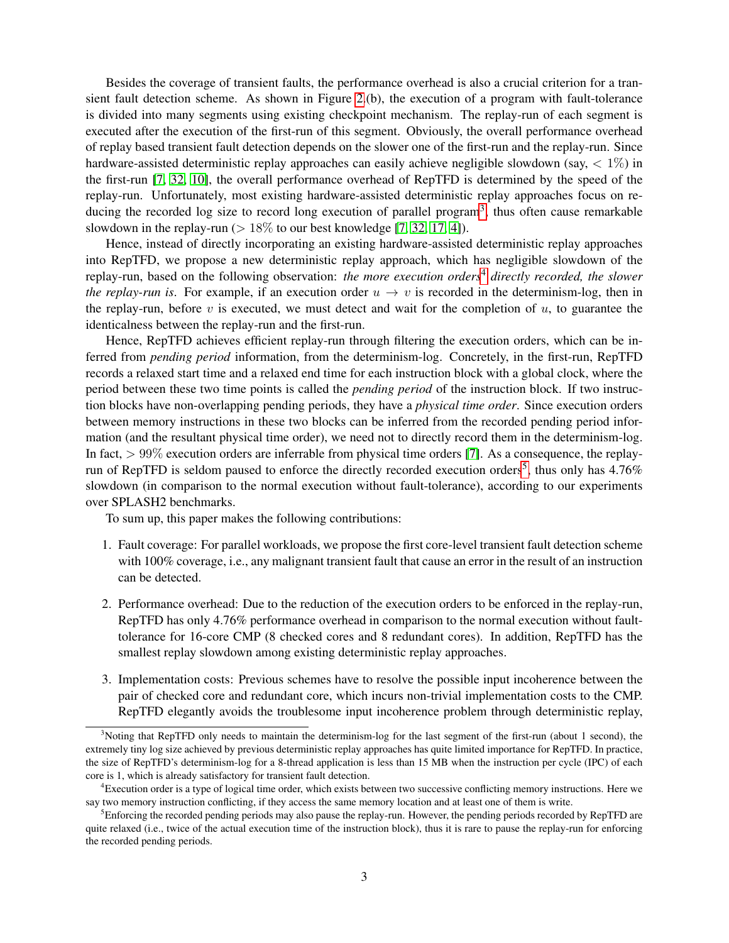Besides the coverage of transient faults, the performance overhead is also a crucial criterion for a transient fault detection scheme. As shown in Figure [2.](#page-2-2)(b), the execution of a program with fault-tolerance is divided into many segments using existing checkpoint mechanism. The replay-run of each segment is executed after the execution of the first-run of this segment. Obviously, the overall performance overhead of replay based transient fault detection depends on the slower one of the first-run and the replay-run. Since hardware-assisted deterministic replay approaches can easily achieve negligible slowdown (say,  $\langle 1\% \rangle$  in the first-run [\[7,](#page-19-1) [32,](#page-21-3) [10\]](#page-19-2), the overall performance overhead of RepTFD is determined by the speed of the replay-run. Unfortunately, most existing hardware-assisted deterministic replay approaches focus on re-ducing the recorded log size to record long execution of parallel program<sup>[3](#page-3-0)</sup>, thus often cause remarkable slowdown in the replay-run ( $> 18\%$  to our best knowledge [\[7,](#page-19-1) [32,](#page-21-3) [17,](#page-20-5) [4\]](#page-19-3)).

Hence, instead of directly incorporating an existing hardware-assisted deterministic replay approaches into RepTFD, we propose a new deterministic replay approach, which has negligible slowdown of the replay-run, based on the following observation: *the more execution orders*[4](#page-3-1) *directly recorded, the slower the replay-run is.* For example, if an execution order  $u \to v$  is recorded in the determinism-log, then in the replay-run, before  $v$  is executed, we must detect and wait for the completion of  $u$ , to guarantee the identicalness between the replay-run and the first-run.

Hence, RepTFD achieves efficient replay-run through filtering the execution orders, which can be inferred from *pending period* information, from the determinism-log. Concretely, in the first-run, RepTFD records a relaxed start time and a relaxed end time for each instruction block with a global clock, where the period between these two time points is called the *pending period* of the instruction block. If two instruction blocks have non-overlapping pending periods, they have a *physical time order*. Since execution orders between memory instructions in these two blocks can be inferred from the recorded pending period information (and the resultant physical time order), we need not to directly record them in the determinism-log. In fact,  $> 99\%$  execution orders are inferrable from physical time orders [\[7\]](#page-19-1). As a consequence, the replay-run of RepTFD is seldom paused to enforce the directly recorded execution orders<sup>[5](#page-3-2)</sup>, thus only has  $4.76\%$ slowdown (in comparison to the normal execution without fault-tolerance), according to our experiments over SPLASH2 benchmarks.

To sum up, this paper makes the following contributions:

- 1. Fault coverage: For parallel workloads, we propose the first core-level transient fault detection scheme with 100% coverage, i.e., any malignant transient fault that cause an error in the result of an instruction can be detected.
- 2. Performance overhead: Due to the reduction of the execution orders to be enforced in the replay-run, RepTFD has only 4.76% performance overhead in comparison to the normal execution without faulttolerance for 16-core CMP (8 checked cores and 8 redundant cores). In addition, RepTFD has the smallest replay slowdown among existing deterministic replay approaches.
- 3. Implementation costs: Previous schemes have to resolve the possible input incoherence between the pair of checked core and redundant core, which incurs non-trivial implementation costs to the CMP. RepTFD elegantly avoids the troublesome input incoherence problem through deterministic replay,

<span id="page-3-0"></span> $3$ Noting that RepTFD only needs to maintain the determinism-log for the last segment of the first-run (about 1 second), the extremely tiny log size achieved by previous deterministic replay approaches has quite limited importance for RepTFD. In practice, the size of RepTFD's determinism-log for a 8-thread application is less than 15 MB when the instruction per cycle (IPC) of each core is 1, which is already satisfactory for transient fault detection.

<span id="page-3-1"></span><sup>4</sup>Execution order is a type of logical time order, which exists between two successive conflicting memory instructions. Here we say two memory instruction conflicting, if they access the same memory location and at least one of them is write.

<span id="page-3-2"></span><sup>&</sup>lt;sup>5</sup>Enforcing the recorded pending periods may also pause the replay-run. However, the pending periods recorded by RepTFD are quite relaxed (i.e., twice of the actual execution time of the instruction block), thus it is rare to pause the replay-run for enforcing the recorded pending periods.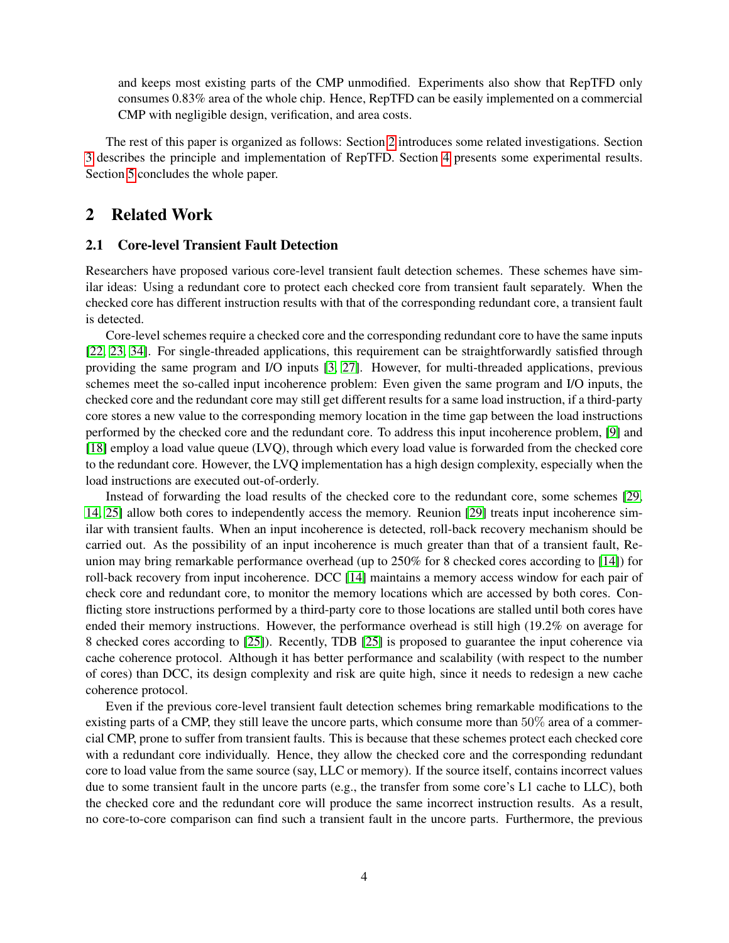and keeps most existing parts of the CMP unmodified. Experiments also show that RepTFD only consumes 0.83% area of the whole chip. Hence, RepTFD can be easily implemented on a commercial CMP with negligible design, verification, and area costs.

The rest of this paper is organized as follows: Section [2](#page-4-0) introduces some related investigations. Section [3](#page-6-0) describes the principle and implementation of RepTFD. Section [4](#page-15-0) presents some experimental results. Section [5](#page-18-0) concludes the whole paper.

### <span id="page-4-0"></span>2 Related Work

#### 2.1 Core-level Transient Fault Detection

Researchers have proposed various core-level transient fault detection schemes. These schemes have similar ideas: Using a redundant core to protect each checked core from transient fault separately. When the checked core has different instruction results with that of the corresponding redundant core, a transient fault is detected.

Core-level schemes require a checked core and the corresponding redundant core to have the same inputs [\[22,](#page-20-6) [23,](#page-20-7) [34\]](#page-21-4). For single-threaded applications, this requirement can be straightforwardly satisfied through providing the same program and I/O inputs [\[3,](#page-19-4) [27\]](#page-21-5). However, for multi-threaded applications, previous schemes meet the so-called input incoherence problem: Even given the same program and I/O inputs, the checked core and the redundant core may still get different results for a same load instruction, if a third-party core stores a new value to the corresponding memory location in the time gap between the load instructions performed by the checked core and the redundant core. To address this input incoherence problem, [\[9\]](#page-19-0) and [\[18\]](#page-20-0) employ a load value queue (LVQ), through which every load value is forwarded from the checked core to the redundant core. However, the LVQ implementation has a high design complexity, especially when the load instructions are executed out-of-orderly.

Instead of forwarding the load results of the checked core to the redundant core, some schemes [\[29,](#page-21-0) [14,](#page-20-1) [25\]](#page-20-2) allow both cores to independently access the memory. Reunion [\[29\]](#page-21-0) treats input incoherence similar with transient faults. When an input incoherence is detected, roll-back recovery mechanism should be carried out. As the possibility of an input incoherence is much greater than that of a transient fault, Reunion may bring remarkable performance overhead (up to 250% for 8 checked cores according to [\[14\]](#page-20-1)) for roll-back recovery from input incoherence. DCC [\[14\]](#page-20-1) maintains a memory access window for each pair of check core and redundant core, to monitor the memory locations which are accessed by both cores. Conflicting store instructions performed by a third-party core to those locations are stalled until both cores have ended their memory instructions. However, the performance overhead is still high (19.2% on average for 8 checked cores according to [\[25\]](#page-20-2)). Recently, TDB [\[25\]](#page-20-2) is proposed to guarantee the input coherence via cache coherence protocol. Although it has better performance and scalability (with respect to the number of cores) than DCC, its design complexity and risk are quite high, since it needs to redesign a new cache coherence protocol.

Even if the previous core-level transient fault detection schemes bring remarkable modifications to the existing parts of a CMP, they still leave the uncore parts, which consume more than 50% area of a commercial CMP, prone to suffer from transient faults. This is because that these schemes protect each checked core with a redundant core individually. Hence, they allow the checked core and the corresponding redundant core to load value from the same source (say, LLC or memory). If the source itself, contains incorrect values due to some transient fault in the uncore parts (e.g., the transfer from some core's L1 cache to LLC), both the checked core and the redundant core will produce the same incorrect instruction results. As a result, no core-to-core comparison can find such a transient fault in the uncore parts. Furthermore, the previous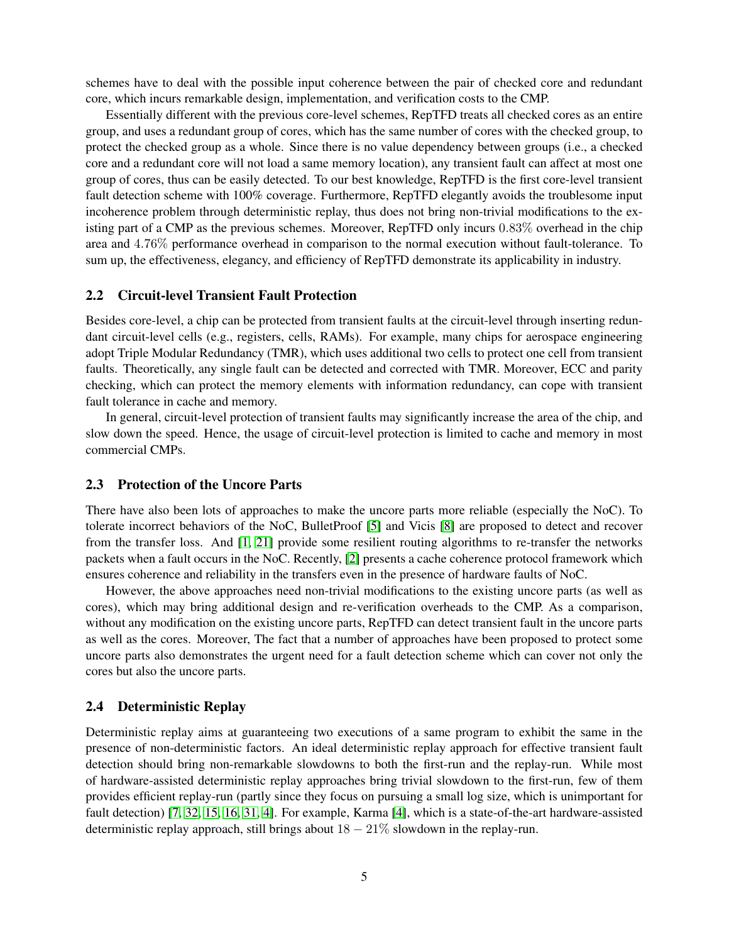schemes have to deal with the possible input coherence between the pair of checked core and redundant core, which incurs remarkable design, implementation, and verification costs to the CMP.

Essentially different with the previous core-level schemes, RepTFD treats all checked cores as an entire group, and uses a redundant group of cores, which has the same number of cores with the checked group, to protect the checked group as a whole. Since there is no value dependency between groups (i.e., a checked core and a redundant core will not load a same memory location), any transient fault can affect at most one group of cores, thus can be easily detected. To our best knowledge, RepTFD is the first core-level transient fault detection scheme with 100% coverage. Furthermore, RepTFD elegantly avoids the troublesome input incoherence problem through deterministic replay, thus does not bring non-trivial modifications to the existing part of a CMP as the previous schemes. Moreover, RepTFD only incurs 0.83% overhead in the chip area and 4.76% performance overhead in comparison to the normal execution without fault-tolerance. To sum up, the effectiveness, elegancy, and efficiency of RepTFD demonstrate its applicability in industry.

#### 2.2 Circuit-level Transient Fault Protection

Besides core-level, a chip can be protected from transient faults at the circuit-level through inserting redundant circuit-level cells (e.g., registers, cells, RAMs). For example, many chips for aerospace engineering adopt Triple Modular Redundancy (TMR), which uses additional two cells to protect one cell from transient faults. Theoretically, any single fault can be detected and corrected with TMR. Moreover, ECC and parity checking, which can protect the memory elements with information redundancy, can cope with transient fault tolerance in cache and memory.

In general, circuit-level protection of transient faults may significantly increase the area of the chip, and slow down the speed. Hence, the usage of circuit-level protection is limited to cache and memory in most commercial CMPs.

### 2.3 Protection of the Uncore Parts

There have also been lots of approaches to make the uncore parts more reliable (especially the NoC). To tolerate incorrect behaviors of the NoC, BulletProof [\[5\]](#page-19-5) and Vicis [\[8\]](#page-19-6) are proposed to detect and recover from the transfer loss. And [\[1,](#page-19-7) [21\]](#page-20-8) provide some resilient routing algorithms to re-transfer the networks packets when a fault occurs in the NoC. Recently, [\[2\]](#page-19-8) presents a cache coherence protocol framework which ensures coherence and reliability in the transfers even in the presence of hardware faults of NoC.

However, the above approaches need non-trivial modifications to the existing uncore parts (as well as cores), which may bring additional design and re-verification overheads to the CMP. As a comparison, without any modification on the existing uncore parts, RepTFD can detect transient fault in the uncore parts as well as the cores. Moreover, The fact that a number of approaches have been proposed to protect some uncore parts also demonstrates the urgent need for a fault detection scheme which can cover not only the cores but also the uncore parts.

### 2.4 Deterministic Replay

Deterministic replay aims at guaranteeing two executions of a same program to exhibit the same in the presence of non-deterministic factors. An ideal deterministic replay approach for effective transient fault detection should bring non-remarkable slowdowns to both the first-run and the replay-run. While most of hardware-assisted deterministic replay approaches bring trivial slowdown to the first-run, few of them provides efficient replay-run (partly since they focus on pursuing a small log size, which is unimportant for fault detection) [\[7,](#page-19-1) [32,](#page-21-3) [15,](#page-20-9) [16,](#page-20-10) [31,](#page-21-6) [4\]](#page-19-3). For example, Karma [\[4\]](#page-19-3), which is a state-of-the-art hardware-assisted deterministic replay approach, still brings about  $18 - 21\%$  slowdown in the replay-run.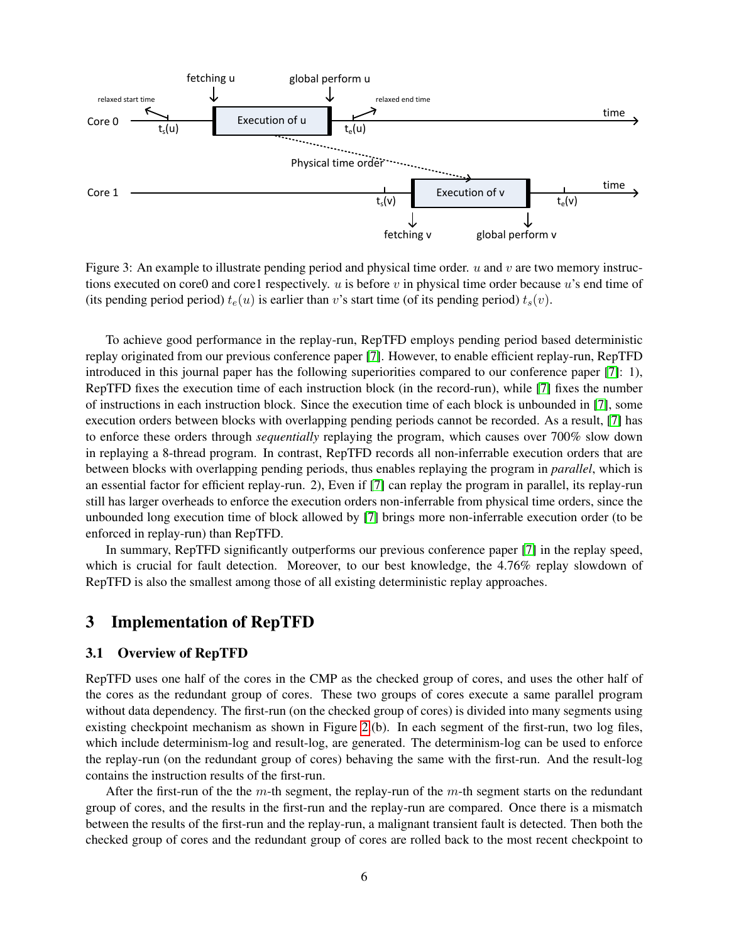

<span id="page-6-1"></span>Figure 3: An example to illustrate pending period and physical time order.  $u$  and  $v$  are two memory instructions executed on core0 and core1 respectively. u is before v in physical time order because u's end time of (its pending period period)  $t_e(u)$  is earlier than v's start time (of its pending period)  $t_s(v)$ .

To achieve good performance in the replay-run, RepTFD employs pending period based deterministic replay originated from our previous conference paper [\[7\]](#page-19-1). However, to enable efficient replay-run, RepTFD introduced in this journal paper has the following superiorities compared to our conference paper [\[7\]](#page-19-1): 1), RepTFD fixes the execution time of each instruction block (in the record-run), while [\[7\]](#page-19-1) fixes the number of instructions in each instruction block. Since the execution time of each block is unbounded in [\[7\]](#page-19-1), some execution orders between blocks with overlapping pending periods cannot be recorded. As a result, [\[7\]](#page-19-1) has to enforce these orders through *sequentially* replaying the program, which causes over 700% slow down in replaying a 8-thread program. In contrast, RepTFD records all non-inferrable execution orders that are between blocks with overlapping pending periods, thus enables replaying the program in *parallel*, which is an essential factor for efficient replay-run. 2), Even if [\[7\]](#page-19-1) can replay the program in parallel, its replay-run still has larger overheads to enforce the execution orders non-inferrable from physical time orders, since the unbounded long execution time of block allowed by [\[7\]](#page-19-1) brings more non-inferrable execution order (to be enforced in replay-run) than RepTFD.

In summary, RepTFD significantly outperforms our previous conference paper [\[7\]](#page-19-1) in the replay speed, which is crucial for fault detection. Moreover, to our best knowledge, the 4.76% replay slowdown of RepTFD is also the smallest among those of all existing deterministic replay approaches.

### <span id="page-6-0"></span>3 Implementation of RepTFD

#### 3.1 Overview of RepTFD

RepTFD uses one half of the cores in the CMP as the checked group of cores, and uses the other half of the cores as the redundant group of cores. These two groups of cores execute a same parallel program without data dependency. The first-run (on the checked group of cores) is divided into many segments using existing checkpoint mechanism as shown in Figure [2.](#page-2-2)(b). In each segment of the first-run, two log files, which include determinism-log and result-log, are generated. The determinism-log can be used to enforce the replay-run (on the redundant group of cores) behaving the same with the first-run. And the result-log contains the instruction results of the first-run.

After the first-run of the the m-th segment, the replay-run of the  $m$ -th segment starts on the redundant group of cores, and the results in the first-run and the replay-run are compared. Once there is a mismatch between the results of the first-run and the replay-run, a malignant transient fault is detected. Then both the checked group of cores and the redundant group of cores are rolled back to the most recent checkpoint to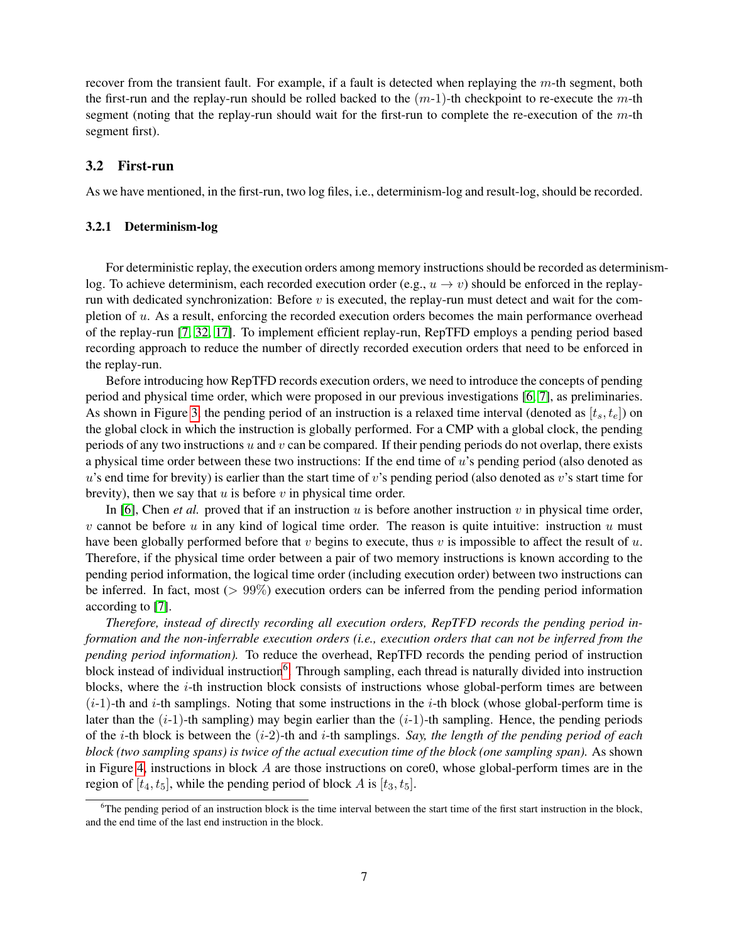recover from the transient fault. For example, if a fault is detected when replaying the m-th segment, both the first-run and the replay-run should be rolled backed to the  $(m-1)$ -th checkpoint to re-execute the m-th segment (noting that the replay-run should wait for the first-run to complete the re-execution of the  $m$ -th segment first).

#### 3.2 First-run

As we have mentioned, in the first-run, two log files, i.e., determinism-log and result-log, should be recorded.

#### 3.2.1 Determinism-log

For deterministic replay, the execution orders among memory instructions should be recorded as determinismlog. To achieve determinism, each recorded execution order (e.g.,  $u \to v$ ) should be enforced in the replayrun with dedicated synchronization: Before  $v$  is executed, the replay-run must detect and wait for the completion of u. As a result, enforcing the recorded execution orders becomes the main performance overhead of the replay-run [\[7,](#page-19-1) [32,](#page-21-3) [17\]](#page-20-5). To implement efficient replay-run, RepTFD employs a pending period based recording approach to reduce the number of directly recorded execution orders that need to be enforced in the replay-run.

Before introducing how RepTFD records execution orders, we need to introduce the concepts of pending period and physical time order, which were proposed in our previous investigations [\[6,](#page-19-9) [7\]](#page-19-1), as preliminaries. As shown in Figure [3,](#page-6-1) the pending period of an instruction is a relaxed time interval (denoted as  $[t_s, t_e]$ ) on the global clock in which the instruction is globally performed. For a CMP with a global clock, the pending periods of any two instructions u and v can be compared. If their pending periods do not overlap, there exists a physical time order between these two instructions: If the end time of u's pending period (also denoted as u's end time for brevity) is earlier than the start time of v's pending period (also denoted as v's start time for brevity), then we say that  $u$  is before  $v$  in physical time order.

In [\[6\]](#page-19-9), Chen *et al.* proved that if an instruction  $u$  is before another instruction  $v$  in physical time order, v cannot be before u in any kind of logical time order. The reason is quite intuitive: instruction u must have been globally performed before that  $v$  begins to execute, thus  $v$  is impossible to affect the result of  $u$ . Therefore, if the physical time order between a pair of two memory instructions is known according to the pending period information, the logical time order (including execution order) between two instructions can be inferred. In fact, most ( $> 99\%$ ) execution orders can be inferred from the pending period information according to [\[7\]](#page-19-1).

*Therefore, instead of directly recording all execution orders, RepTFD records the pending period information and the non-inferrable execution orders (i.e., execution orders that can not be inferred from the pending period information).* To reduce the overhead, RepTFD records the pending period of instruction block instead of individual instruction<sup>[6](#page-7-0)</sup>. Through sampling, each thread is naturally divided into instruction blocks, where the  $i$ -th instruction block consists of instructions whose global-perform times are between  $(i-1)$ -th and i-th samplings. Noting that some instructions in the i-th block (whose global-perform time is later than the  $(i-1)$ -th sampling) may begin earlier than the  $(i-1)$ -th sampling. Hence, the pending periods of the i-th block is between the (i-2)-th and i-th samplings. *Say, the length of the pending period of each block (two sampling spans) is twice of the actual execution time of the block (one sampling span).* As shown in Figure [4,](#page-8-0) instructions in block  $A$  are those instructions on core $0$ , whose global-perform times are in the region of  $[t_4, t_5]$ , while the pending period of block A is  $[t_3, t_5]$ .

<span id="page-7-0"></span> $6$ The pending period of an instruction block is the time interval between the start time of the first start instruction in the block, and the end time of the last end instruction in the block.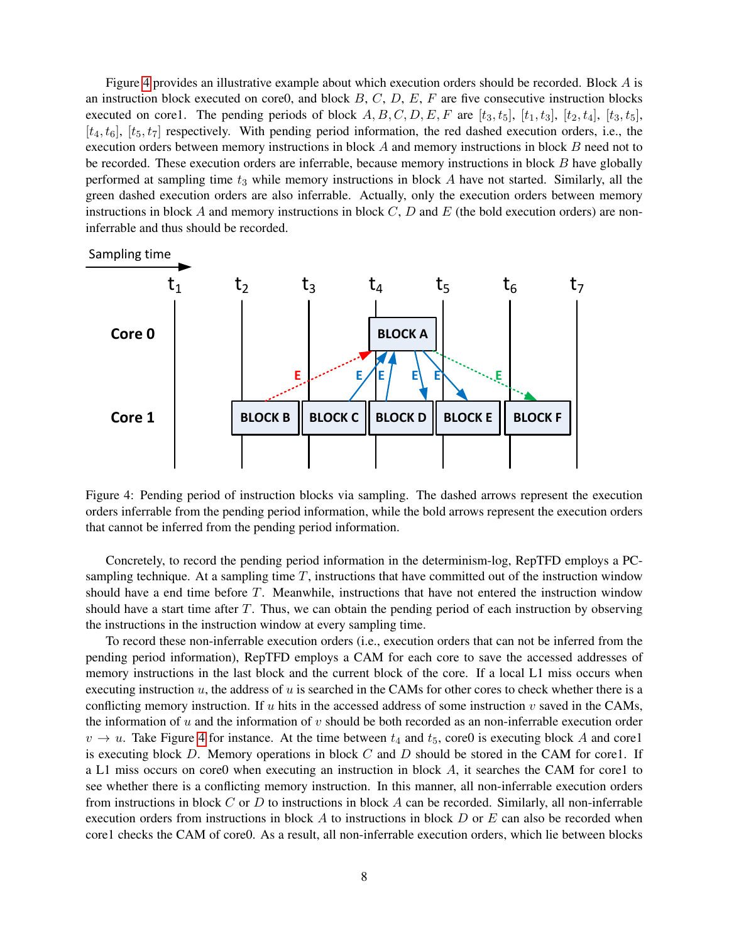Figure [4](#page-8-0) provides an illustrative example about which execution orders should be recorded. Block A is an instruction block executed on core0, and block  $B, C, D, E, F$  are five consecutive instruction blocks executed on core1. The pending periods of block  $A, B, C, D, E, F$  are  $[t_3, t_5], [t_1, t_3], [t_2, t_4], [t_3, t_5],$  $[t_4, t_6]$ ,  $[t_5, t_7]$  respectively. With pending period information, the red dashed execution orders, i.e., the execution orders between memory instructions in block A and memory instructions in block B need not to be recorded. These execution orders are inferrable, because memory instructions in block B have globally be recorded. These execution orders are inferrable, because memory instructions in block B have globally performed at sampling time  $t_3$  while memory instructions in block  $A$  have not started. Similarly, all the green dashed execution orders are also inferrable. Actually, only the execution orders between memory instructions in block A and memory instructions in block  $C$ ,  $D$  and  $E$  (the bold execution orders) are noninferrable and thus should be recorded.



<span id="page-8-0"></span>Figure 4: Pending period of instruction blocks via sampling. The dashed arrows represent the execution orders inferrable from the pending period information, while the bold arrows represent the execution orders that cannot be inferred from the pending period information.

Concretely, to record the pending period information in the determinism-log, RepTFD employs a PCsampling technique. At a sampling time  $T$ , instructions that have committed out of the instruction window should have a end time before T. Meanwhile, instructions that have not entered the instruction window should have a start time after T. Thus, we can obtain the pending period of each instruction by observing the instructions in the instruction window at every sampling time.

To record these non-inferrable execution orders (i.e., execution orders that can not be inferred from the pending period information), RepTFD employs a CAM for each core to save the accessed addresses of memory instructions in the last block and the current block of the core. If a local L1 miss occurs when executing instruction  $u$ , the address of  $u$  is searched in the CAMs for other cores to check whether there is a conflicting memory instruction. If  $u$  hits in the accessed address of some instruction  $v$  saved in the CAMs, the information of  $u$  and the information of  $v$  should be both recorded as an non-inferrable execution order  $v \rightarrow u$ . Take Figure [4](#page-8-0) for instance. At the time between  $t_4$  and  $t_5$ , core0 is executing block A and core1 is executing block  $D$ . Memory operations in block  $C$  and  $D$  should be stored in the CAM for core1. If a L1 miss occurs on core0 when executing an instruction in block A, it searches the CAM for core1 to see whether there is a conflicting memory instruction. In this manner, all non-inferrable execution orders from instructions in block C or D to instructions in block A can be recorded. Similarly, all non-inferrable execution orders from instructions in block  $A$  to instructions in block  $D$  or  $E$  can also be recorded when core1 checks the CAM of core0. As a result, all non-inferrable execution orders, which lie between blocks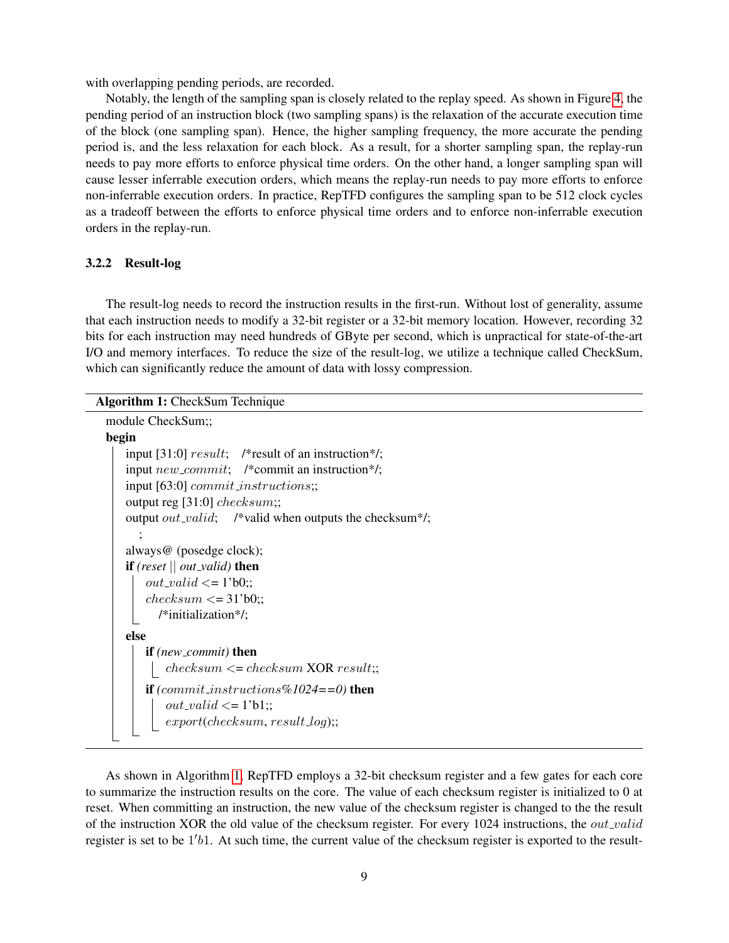with overlapping pending periods, are recorded.

Notably, the length of the sampling span is closely related to the replay speed. As shown in Figure [4,](#page-8-0) the pending period of an instruction block (two sampling spans) is the relaxation of the accurate execution time of the block (one sampling span). Hence, the higher sampling frequency, the more accurate the pending period is, and the less relaxation for each block. As a result, for a shorter sampling span, the replay-run needs to pay more efforts to enforce physical time orders. On the other hand, a longer sampling span will cause lesser inferrable execution orders, which means the replay-run needs to pay more efforts to enforce non-inferrable execution orders. In practice, RepTFD configures the sampling span to be 512 clock cycles as a tradeoff between the efforts to enforce physical time orders and to enforce non-inferrable execution orders in the replay-run.

#### 3.2.2 Result-log

The result-log needs to record the instruction results in the first-run. Without lost of generality, assume that each instruction needs to modify a 32-bit register or a 32-bit memory location. However, recording 32 bits for each instruction may need hundreds of GByte per second, which is unpractical for state-of-the-art I/O and memory interfaces. To reduce the size of the result-log, we utilize a technique called CheckSum, which can significantly reduce the amount of data with lossy compression.

### Algorithm 1: CheckSum Technique

```
module CheckSum;;
```

```
begin
   input [31:0] result; /*result of an instruction*/;
   input new\_commit; /*commit an instruction*/;
   input [63:0] commit instructions;;
   output reg [31:0] checksum;;
   output out_valid; /*valid when outputs the checksum*/;
      ;
   always@ (posedge clock);
   if (reset || out valid) then
       out\_valid \leq 1'b0;;
       checksum \leq 31'b0;;
         /*initialization*/;
   else
       if (new commit) then
        \lvert checksum \lvert checksum XOR result;;
       if (commit instructions%1024==0) then
           out\_valid \leq 1'b1;;
           export(checksum, result\_log);
```
As shown in Algorithm [1,](#page-9-0) RepTFD employs a 32-bit checksum register and a few gates for each core to summarize the instruction results on the core. The value of each checksum register is initialized to 0 at reset. When committing an instruction, the new value of the checksum register is changed to the the result of the instruction XOR the old value of the checksum register. For every 1024 instructions, the  $out\_valid$ register is set to be 1'b1. At such time, the current value of the checksum register is exported to the result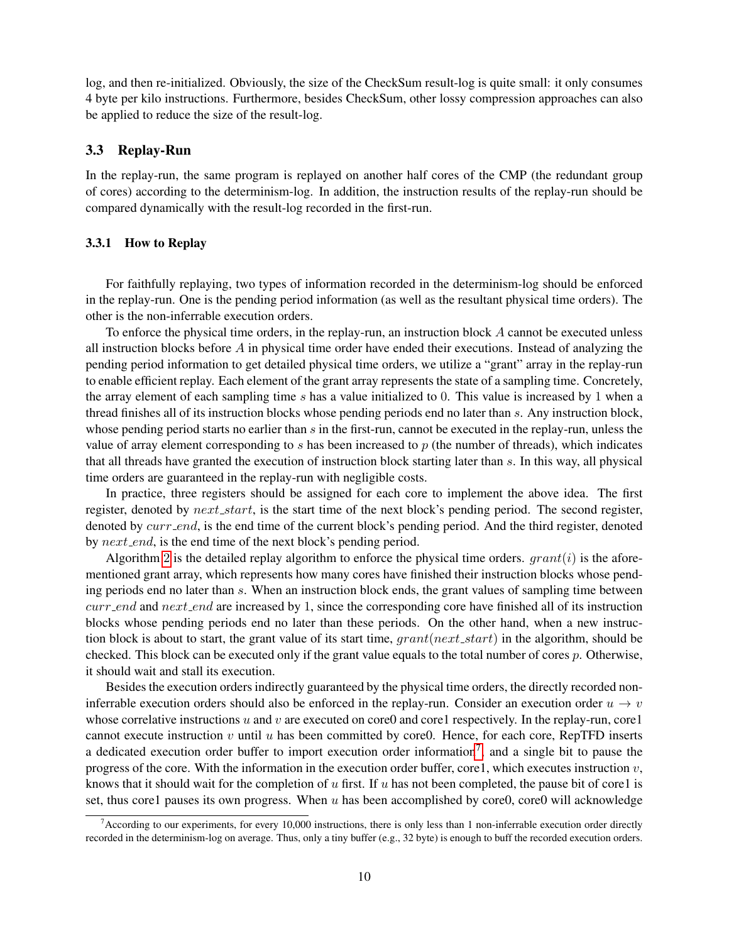log, and then re-initialized. Obviously, the size of the CheckSum result-log is quite small: it only consumes 4 byte per kilo instructions. Furthermore, besides CheckSum, other lossy compression approaches can also be applied to reduce the size of the result-log.

#### 3.3 Replay-Run

In the replay-run, the same program is replayed on another half cores of the CMP (the redundant group of cores) according to the determinism-log. In addition, the instruction results of the replay-run should be compared dynamically with the result-log recorded in the first-run.

#### 3.3.1 How to Replay

For faithfully replaying, two types of information recorded in the determinism-log should be enforced in the replay-run. One is the pending period information (as well as the resultant physical time orders). The other is the non-inferrable execution orders.

To enforce the physical time orders, in the replay-run, an instruction block A cannot be executed unless all instruction blocks before  $A$  in physical time order have ended their executions. Instead of analyzing the pending period information to get detailed physical time orders, we utilize a "grant" array in the replay-run to enable efficient replay. Each element of the grant array represents the state of a sampling time. Concretely, the array element of each sampling time s has a value initialized to 0. This value is increased by 1 when a thread finishes all of its instruction blocks whose pending periods end no later than s. Any instruction block, whose pending period starts no earlier than  $s$  in the first-run, cannot be executed in the replay-run, unless the value of array element corresponding to s has been increased to  $p$  (the number of threads), which indicates that all threads have granted the execution of instruction block starting later than s. In this way, all physical time orders are guaranteed in the replay-run with negligible costs.

In practice, three registers should be assigned for each core to implement the above idea. The first register, denoted by  $next\_start$ , is the start time of the next block's pending period. The second register, denoted by *curr\_end*, is the end time of the current block's pending period. And the third register, denoted by next\_end, is the end time of the next block's pending period.

Algorithm [2](#page-11-0) is the detailed replay algorithm to enforce the physical time orders.  $grant(i)$  is the aforementioned grant array, which represents how many cores have finished their instruction blocks whose pending periods end no later than s. When an instruction block ends, the grant values of sampling time between  $curr$  and next end are increased by 1, since the corresponding core have finished all of its instruction blocks whose pending periods end no later than these periods. On the other hand, when a new instruction block is about to start, the grant value of its start time,  $grant(next\_start)$  in the algorithm, should be checked. This block can be executed only if the grant value equals to the total number of cores  $p$ . Otherwise, it should wait and stall its execution.

Besides the execution orders indirectly guaranteed by the physical time orders, the directly recorded noninferrable execution orders should also be enforced in the replay-run. Consider an execution order  $u \to v$ whose correlative instructions u and v are executed on core0 and core1 respectively. In the replay-run, core1 cannot execute instruction  $v$  until  $u$  has been committed by core0. Hence, for each core, RepTFD inserts a dedicated execution order buffer to import execution order information<sup>[7](#page-10-0)</sup>, and a single bit to pause the progress of the core. With the information in the execution order buffer, core1, which executes instruction  $v$ , knows that it should wait for the completion of u first. If u has not been completed, the pause bit of core1 is set, thus core1 pauses its own progress. When  $u$  has been accomplished by core0, core0 will acknowledge

<span id="page-10-0"></span><sup>&</sup>lt;sup>7</sup>According to our experiments, for every 10,000 instructions, there is only less than 1 non-inferrable execution order directly recorded in the determinism-log on average. Thus, only a tiny buffer (e.g., 32 byte) is enough to buff the recorded execution orders.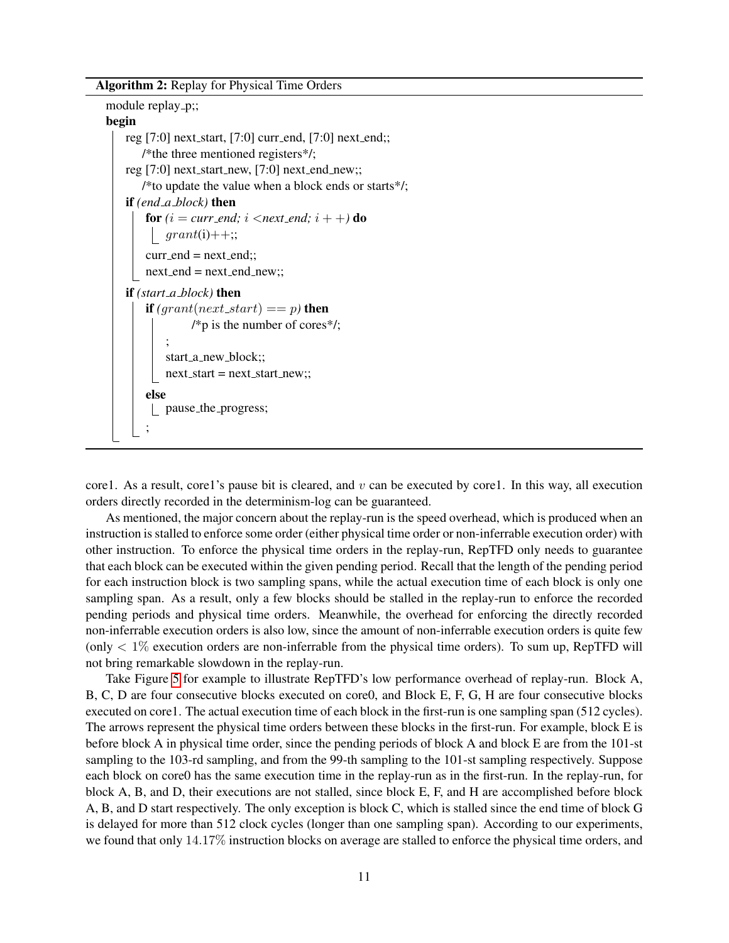Algorithm 2: Replay for Physical Time Orders

```
module replay_p;;
begin
   reg [7:0] next_start, [7:0] curr_end, [7:0] next_end;;
       /*the three mentioned registers*/;
   reg [7:0] next_start_new, [7:0] next_end_new;;
       /*to update the value when a block ends or starts*/;
   if (end a block) then
       for (i = curr\_end; i < next\_end; i + +) do
         \int grant(i)++;;
       curr\_end = next\_end;;
       next\_end = next\_end\_new;;
   if (start a block) then
       if (grant(next\_start) == p) then
                /*p is the number of cores*/;
            ;
            start_a_new_block;;
            next\_start = next\_start\_new;;
       else
         pause the progress;
       ;
```
core1. As a result, core1's pause bit is cleared, and  $v$  can be executed by core1. In this way, all execution orders directly recorded in the determinism-log can be guaranteed.

As mentioned, the major concern about the replay-run is the speed overhead, which is produced when an instruction is stalled to enforce some order (either physical time order or non-inferrable execution order) with other instruction. To enforce the physical time orders in the replay-run, RepTFD only needs to guarantee that each block can be executed within the given pending period. Recall that the length of the pending period for each instruction block is two sampling spans, while the actual execution time of each block is only one sampling span. As a result, only a few blocks should be stalled in the replay-run to enforce the recorded pending periods and physical time orders. Meanwhile, the overhead for enforcing the directly recorded non-inferrable execution orders is also low, since the amount of non-inferrable execution orders is quite few (only  $< 1\%$  execution orders are non-inferrable from the physical time orders). To sum up, RepTFD will not bring remarkable slowdown in the replay-run.

Take Figure [5](#page-12-0) for example to illustrate RepTFD's low performance overhead of replay-run. Block A, B, C, D are four consecutive blocks executed on core0, and Block E, F, G, H are four consecutive blocks executed on core1. The actual execution time of each block in the first-run is one sampling span (512 cycles). The arrows represent the physical time orders between these blocks in the first-run. For example, block E is before block A in physical time order, since the pending periods of block A and block E are from the 101-st sampling to the 103-rd sampling, and from the 99-th sampling to the 101-st sampling respectively. Suppose each block on core0 has the same execution time in the replay-run as in the first-run. In the replay-run, for block A, B, and D, their executions are not stalled, since block E, F, and H are accomplished before block A, B, and D start respectively. The only exception is block C, which is stalled since the end time of block G is delayed for more than 512 clock cycles (longer than one sampling span). According to our experiments, we found that only 14.17% instruction blocks on average are stalled to enforce the physical time orders, and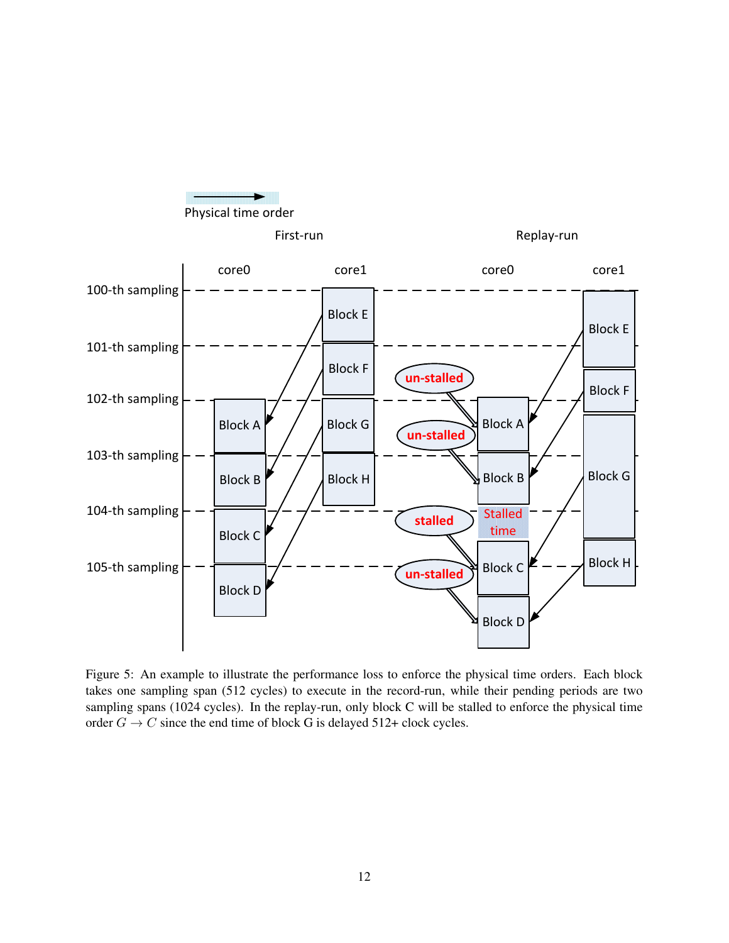

<span id="page-12-0"></span>Figure 5: An example to illustrate the performance loss to enforce the physical time orders. Each block takes one sampling span (512 cycles) to execute in the record-run, while their pending periods are two sampling spans (1024 cycles). In the replay-run, only block C will be stalled to enforce the physical time order  $G \to C$  since the end time of block G is delayed 512+ clock cycles.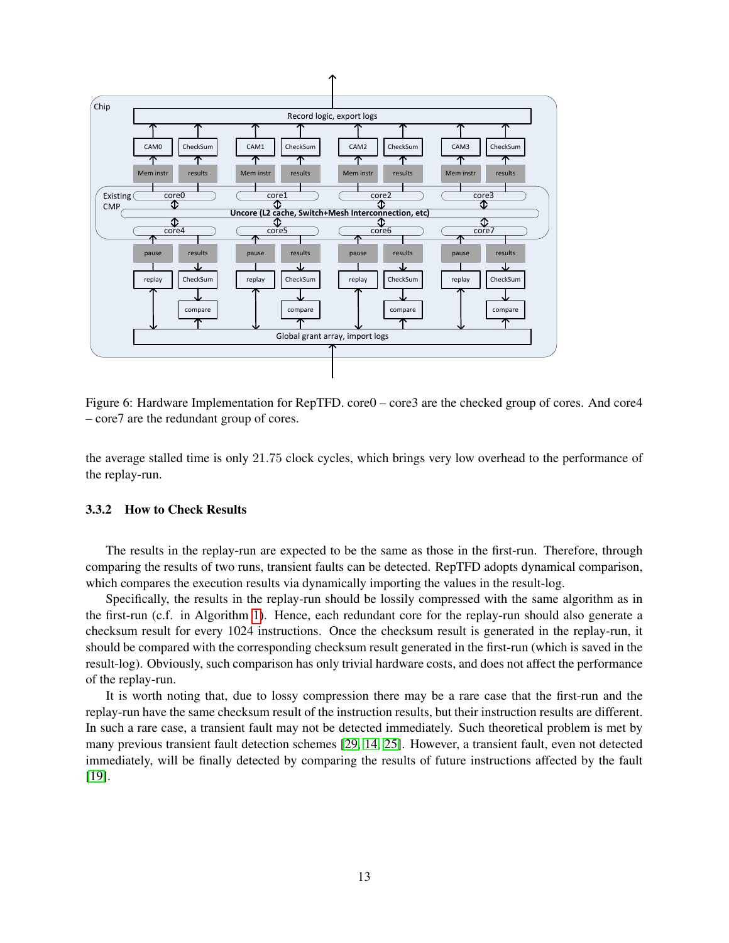

<span id="page-13-0"></span>Figure 6: Hardware Implementation for RepTFD. core0 – core3 are the checked group of cores. And core4 – core7 are the redundant group of cores.

the average stalled time is only 21.75 clock cycles, which brings very low overhead to the performance of the replay-run.

#### 3.3.2 How to Check Results

The results in the replay-run are expected to be the same as those in the first-run. Therefore, through comparing the results of two runs, transient faults can be detected. RepTFD adopts dynamical comparison, which compares the execution results via dynamically importing the values in the result-log.

should be compared with the corresponding checksum result generated in the first-run (which is saved in the Specifically, the results in the replay-run should be lossily compressed with the same algorithm as in the first-run (c.f. in Algorithm [1\)](#page-9-0). Hence, each redundant core for the replay-run should also generate a checksum result for every 1024 instructions. Once the checksum result is generated in the replay-run, it result-log). Obviously, such comparison has only trivial hardware costs, and does not affect the performance of the replay-run.

It is worth noting that, due to lossy compression there may be a rare case that the first-run and the In such a rare case, a transient fault may not be detected immediately. Such theoretical problem is met by replay-run have the same checksum result of the instruction results, but their instruction results are different. many previous transient fault detection schemes [\[29,](#page-21-0) [14,](#page-20-1) [25\]](#page-20-2). However, a transient fault, even not detected immediately, will be finally detected by comparing the results of future instructions affected by the fault [\[19\]](#page-20-11).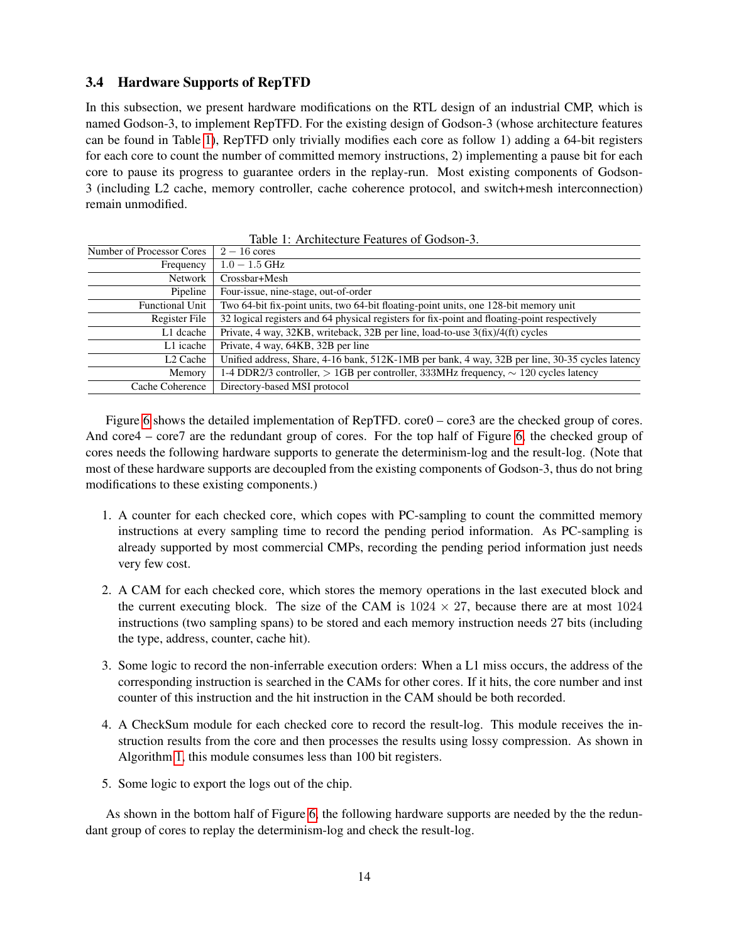### 3.4 Hardware Supports of RepTFD

In this subsection, we present hardware modifications on the RTL design of an industrial CMP, which is named Godson-3, to implement RepTFD. For the existing design of Godson-3 (whose architecture features can be found in Table [1\)](#page-14-0), RepTFD only trivially modifies each core as follow 1) adding a 64-bit registers for each core to count the number of committed memory instructions, 2) implementing a pause bit for each core to pause its progress to guarantee orders in the replay-run. Most existing components of Godson-3 (including L2 cache, memory controller, cache coherence protocol, and switch+mesh interconnection) remain unmodified.

| Number of Processor Cores | $2-16$ cores                                                                                    |
|---------------------------|-------------------------------------------------------------------------------------------------|
| Frequency                 | $1.0 - 1.5$ GHz                                                                                 |
| <b>Network</b>            | Crossbar+Mesh                                                                                   |
| Pipeline                  | Four-issue, nine-stage, out-of-order                                                            |
| <b>Functional Unit</b>    | Two 64-bit fix-point units, two 64-bit floating-point units, one 128-bit memory unit            |
| Register File             | 32 logical registers and 64 physical registers for fix-point and floating-point respectively    |
| L1 dcache                 | Private, 4 way, 32KB, writeback, 32B per line, load-to-use 3(fix)/4(ft) cycles                  |
| L1 icache                 | Private, 4 way, 64KB, 32B per line                                                              |
| L2 Cache                  | Unified address, Share, 4-16 bank, 512K-1MB per bank, 4 way, 32B per line, 30-35 cycles latency |
| Memory                    | 1-4 DDR2/3 controller, $> 1GB$ per controller, 333MHz frequency, $\sim 120$ cycles latency      |
| Cache Coherence           | Directory-based MSI protocol                                                                    |

<span id="page-14-0"></span>Table 1: Architecture Features of Godson-3.

Figure [6](#page-13-0) shows the detailed implementation of RepTFD. core0 – core3 are the checked group of cores. And core4 – core7 are the redundant group of cores. For the top half of Figure [6,](#page-13-0) the checked group of cores needs the following hardware supports to generate the determinism-log and the result-log. (Note that most of these hardware supports are decoupled from the existing components of Godson-3, thus do not bring modifications to these existing components.)

- 1. A counter for each checked core, which copes with PC-sampling to count the committed memory instructions at every sampling time to record the pending period information. As PC-sampling is already supported by most commercial CMPs, recording the pending period information just needs very few cost.
- 2. A CAM for each checked core, which stores the memory operations in the last executed block and the current executing block. The size of the CAM is  $1024 \times 27$ , because there are at most  $1024$ instructions (two sampling spans) to be stored and each memory instruction needs 27 bits (including the type, address, counter, cache hit).
- 3. Some logic to record the non-inferrable execution orders: When a L1 miss occurs, the address of the corresponding instruction is searched in the CAMs for other cores. If it hits, the core number and inst counter of this instruction and the hit instruction in the CAM should be both recorded.
- 4. A CheckSum module for each checked core to record the result-log. This module receives the instruction results from the core and then processes the results using lossy compression. As shown in Algorithm [1,](#page-9-0) this module consumes less than 100 bit registers.
- 5. Some logic to export the logs out of the chip.

As shown in the bottom half of Figure [6,](#page-13-0) the following hardware supports are needed by the the redundant group of cores to replay the determinism-log and check the result-log.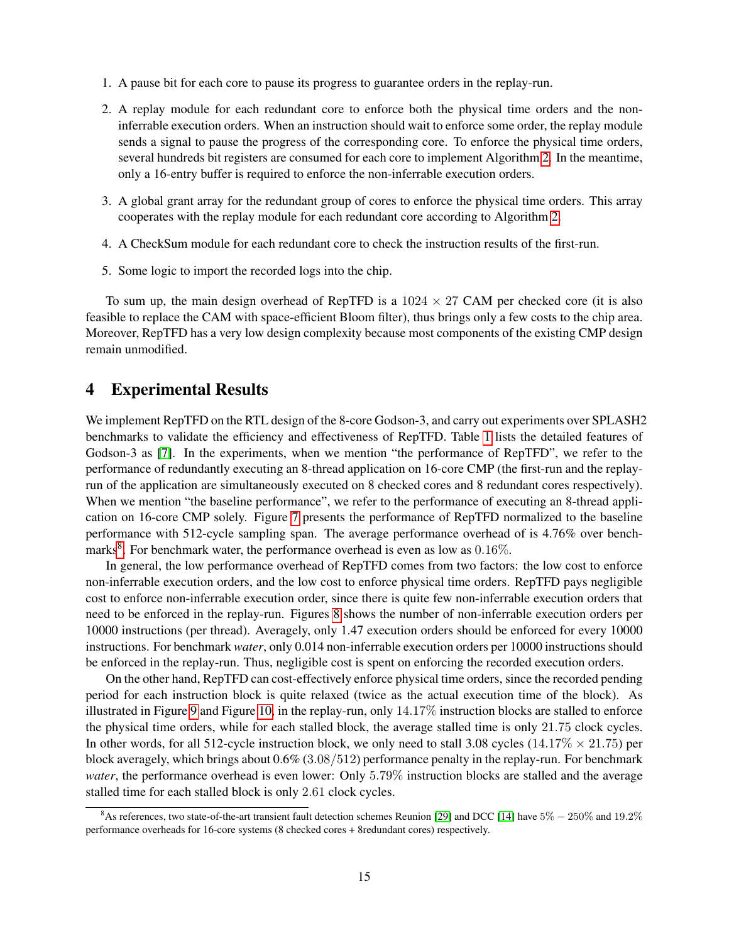- 1. A pause bit for each core to pause its progress to guarantee orders in the replay-run.
- 2. A replay module for each redundant core to enforce both the physical time orders and the noninferrable execution orders. When an instruction should wait to enforce some order, the replay module sends a signal to pause the progress of the corresponding core. To enforce the physical time orders, several hundreds bit registers are consumed for each core to implement Algorithm [2.](#page-11-0) In the meantime, only a 16-entry buffer is required to enforce the non-inferrable execution orders.
- 3. A global grant array for the redundant group of cores to enforce the physical time orders. This array cooperates with the replay module for each redundant core according to Algorithm [2.](#page-11-0)
- 4. A CheckSum module for each redundant core to check the instruction results of the first-run.
- 5. Some logic to import the recorded logs into the chip.

To sum up, the main design overhead of RepTFD is a  $1024 \times 27$  CAM per checked core (it is also feasible to replace the CAM with space-efficient Bloom filter), thus brings only a few costs to the chip area. Moreover, RepTFD has a very low design complexity because most components of the existing CMP design remain unmodified.

### <span id="page-15-0"></span>4 Experimental Results

We implement RepTFD on the RTL design of the 8-core Godson-3, and carry out experiments over SPLASH2 benchmarks to validate the efficiency and effectiveness of RepTFD. Table [1](#page-14-0) lists the detailed features of Godson-3 as [\[7\]](#page-19-1). In the experiments, when we mention "the performance of RepTFD", we refer to the performance of redundantly executing an 8-thread application on 16-core CMP (the first-run and the replayrun of the application are simultaneously executed on 8 checked cores and 8 redundant cores respectively). When we mention "the baseline performance", we refer to the performance of executing an 8-thread application on 16-core CMP solely. Figure [7](#page-16-0) presents the performance of RepTFD normalized to the baseline performance with 512-cycle sampling span. The average performance overhead of is 4.76% over bench-marks<sup>[8](#page-15-1)</sup>. For benchmark water, the performance overhead is even as low as  $0.16\%$ .

In general, the low performance overhead of RepTFD comes from two factors: the low cost to enforce non-inferrable execution orders, and the low cost to enforce physical time orders. RepTFD pays negligible cost to enforce non-inferrable execution order, since there is quite few non-inferrable execution orders that need to be enforced in the replay-run. Figures [8](#page-16-1) shows the number of non-inferrable execution orders per 10000 instructions (per thread). Averagely, only 1.47 execution orders should be enforced for every 10000 instructions. For benchmark *water*, only 0.014 non-inferrable execution orders per 10000 instructions should be enforced in the replay-run. Thus, negligible cost is spent on enforcing the recorded execution orders.

On the other hand, RepTFD can cost-effectively enforce physical time orders, since the recorded pending period for each instruction block is quite relaxed (twice as the actual execution time of the block). As illustrated in Figure [9](#page-17-0) and Figure [10,](#page-17-1) in the replay-run, only 14.17% instruction blocks are stalled to enforce the physical time orders, while for each stalled block, the average stalled time is only 21.75 clock cycles. In other words, for all 512-cycle instruction block, we only need to stall 3.08 cycles (14.17\%  $\times$  21.75) per block averagely, which brings about 0.6% (3.08/512) performance penalty in the replay-run. For benchmark *water*, the performance overhead is even lower: Only 5.79% instruction blocks are stalled and the average stalled time for each stalled block is only 2.61 clock cycles.

<span id="page-15-1"></span><sup>&</sup>lt;sup>8</sup>As references, two state-of-the-art transient fault detection schemes Reunion [\[29\]](#page-21-0) and DCC [\[14\]](#page-20-1) have  $5\% - 250\%$  and  $19.2\%$ performance overheads for 16-core systems (8 checked cores + 8redundant cores) respectively.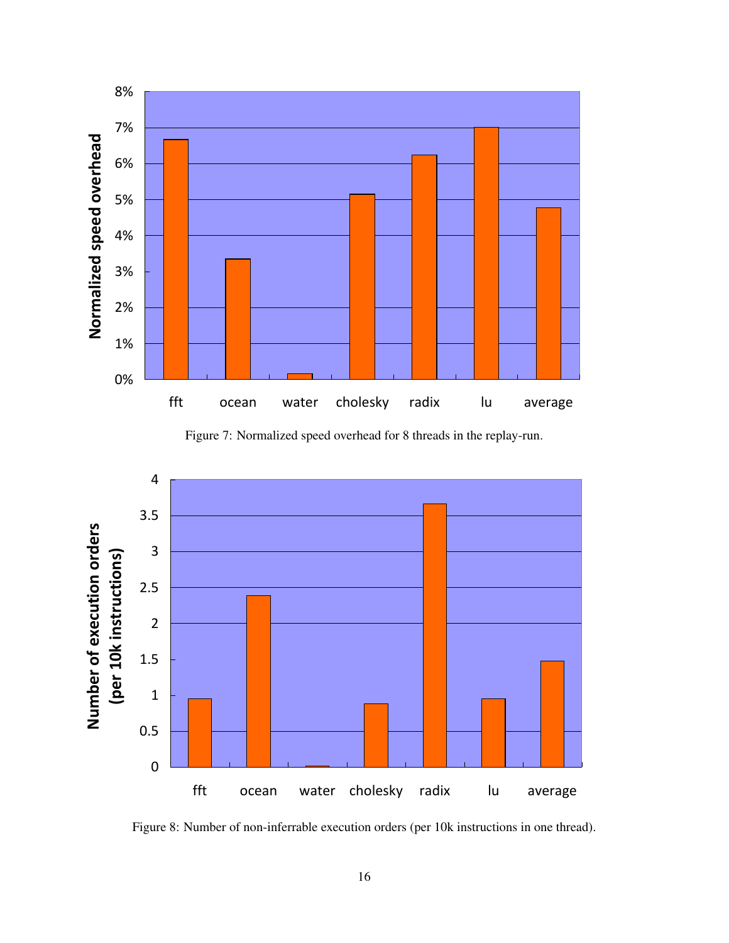

<span id="page-16-0"></span>Figure 7: Normalized speed overhead for 8 threads in the replay-run.



<span id="page-16-1"></span>Figure 8: Number of non-inferrable execution orders (per 10k instructions in one thread).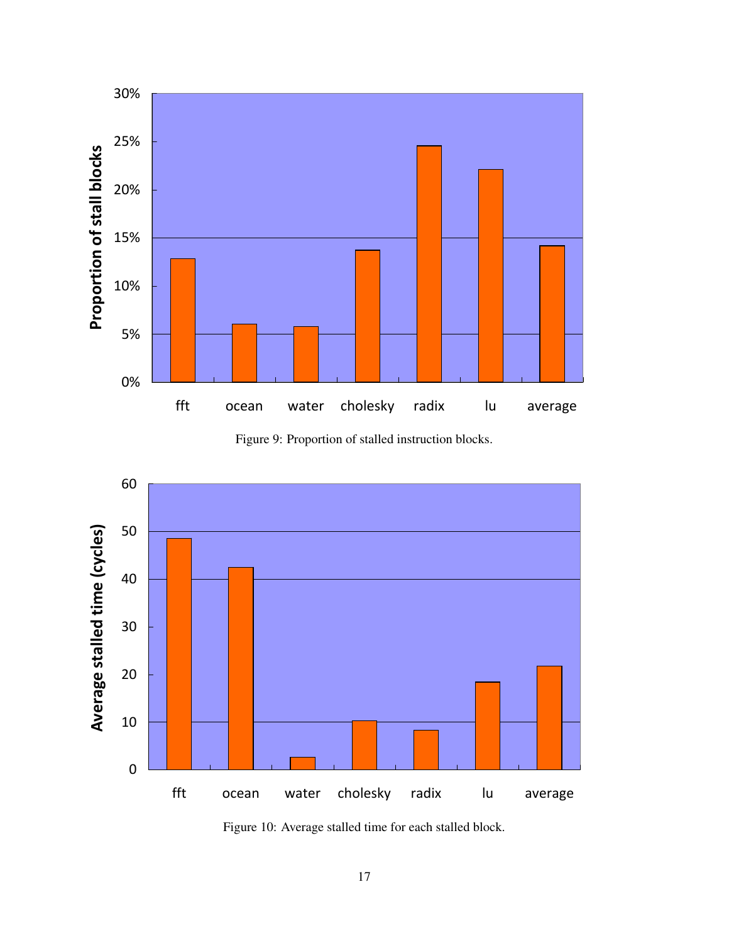

<span id="page-17-0"></span>Figure 9: Proportion of stalled instruction blocks.



<span id="page-17-1"></span>Figure 10: Average stalled time for each stalled block.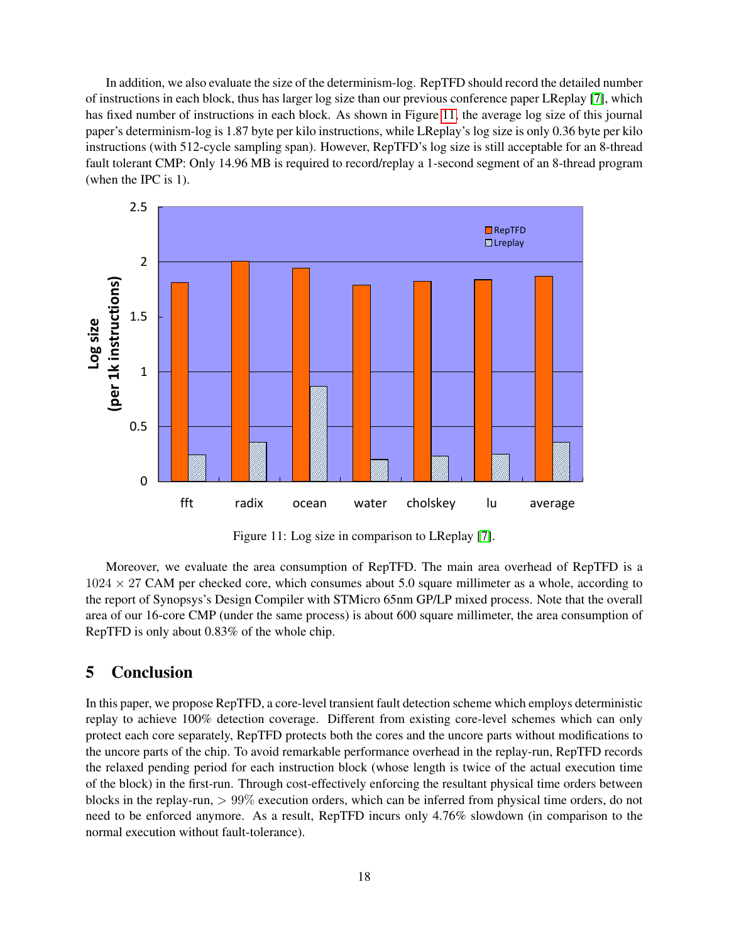In addition, we also evaluate the size of the determinism-log. RepTFD should record the detailed number of instructions in each block, thus has larger log size than our previous conference paper LReplay [\[7\]](#page-19-1), which has fixed number of instructions in each block. As shown in Figure [11,](#page-18-1) the average log size of this journal paper's determinism-log is 1.87 byte per kilo instructions, while LReplay's log size is only 0.36 byte per kilo instructions (with 512-cycle sampling span). However, RepTFD's log size is still acceptable for an 8-thread fault tolerant CMP: Only 14.96 MB is required to record/replay a 1-second segment of an 8-thread program (when the IPC is 1).



<span id="page-18-1"></span>Figure 11: Log size in comparison to LReplay [\[7\]](#page-19-1).

Moreover, we evaluate the area consumption of RepTFD. The main area overhead of RepTFD is a  $1024 \times 27$  CAM per checked core, which consumes about 5.0 square millimeter as a whole, according to the report of Synopsys's Design Compiler with STMicro 65nm GP/LP mixed process. Note that the overall area of our 16-core CMP (under the same process) is about 600 square millimeter, the area consumption of RepTFD is only about 0.83% of the whole chip.

### <span id="page-18-0"></span>5 Conclusion

In this paper, we propose RepTFD, a core-level transient fault detection scheme which employs deterministic replay to achieve 100% detection coverage. Different from existing core-level schemes which can only protect each core separately, RepTFD protects both the cores and the uncore parts without modifications to the uncore parts of the chip. To avoid remarkable performance overhead in the replay-run, RepTFD records the relaxed pending period for each instruction block (whose length is twice of the actual execution time of the block) in the first-run. Through cost-effectively enforcing the resultant physical time orders between blocks in the replay-run, > 99% execution orders, which can be inferred from physical time orders, do not need to be enforced anymore. As a result, RepTFD incurs only 4.76% slowdown (in comparison to the normal execution without fault-tolerance).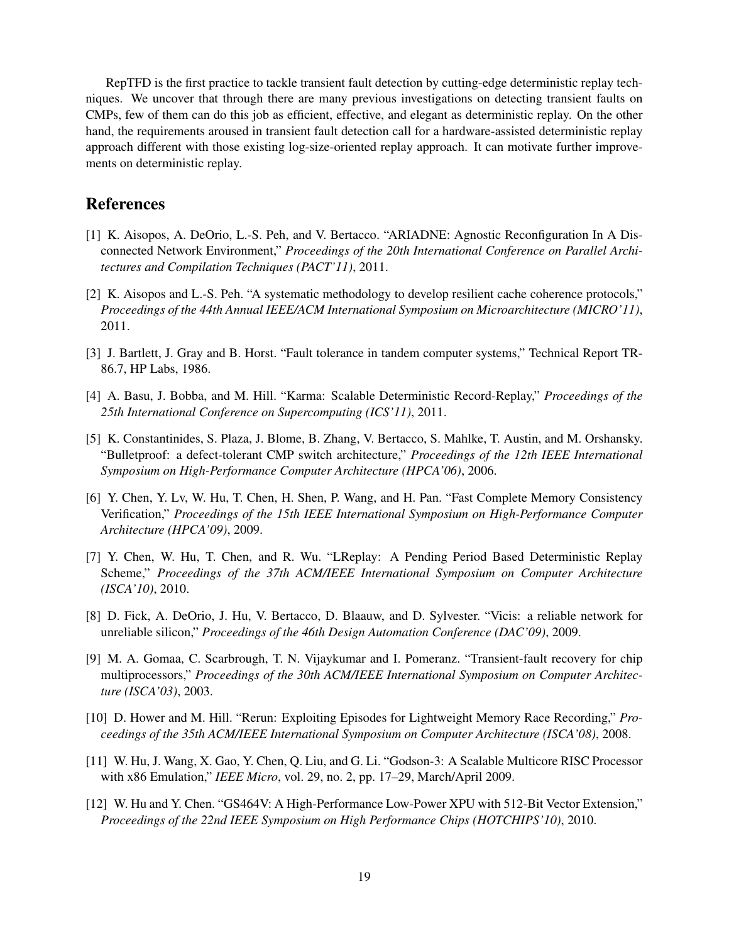RepTFD is the first practice to tackle transient fault detection by cutting-edge deterministic replay techniques. We uncover that through there are many previous investigations on detecting transient faults on CMPs, few of them can do this job as efficient, effective, and elegant as deterministic replay. On the other hand, the requirements aroused in transient fault detection call for a hardware-assisted deterministic replay approach different with those existing log-size-oriented replay approach. It can motivate further improvements on deterministic replay.

## References

- <span id="page-19-7"></span>[1] K. Aisopos, A. DeOrio, L.-S. Peh, and V. Bertacco. "ARIADNE: Agnostic Reconfiguration In A Disconnected Network Environment," *Proceedings of the 20th International Conference on Parallel Architectures and Compilation Techniques (PACT'11)*, 2011.
- <span id="page-19-8"></span>[2] K. Aisopos and L.-S. Peh. "A systematic methodology to develop resilient cache coherence protocols," *Proceedings of the 44th Annual IEEE/ACM International Symposium on Microarchitecture (MICRO'11)*, 2011.
- <span id="page-19-4"></span>[3] J. Bartlett, J. Gray and B. Horst. "Fault tolerance in tandem computer systems," Technical Report TR-86.7, HP Labs, 1986.
- <span id="page-19-3"></span>[4] A. Basu, J. Bobba, and M. Hill. "Karma: Scalable Deterministic Record-Replay," *Proceedings of the 25th International Conference on Supercomputing (ICS'11)*, 2011.
- <span id="page-19-5"></span>[5] K. Constantinides, S. Plaza, J. Blome, B. Zhang, V. Bertacco, S. Mahlke, T. Austin, and M. Orshansky. "Bulletproof: a defect-tolerant CMP switch architecture," *Proceedings of the 12th IEEE International Symposium on High-Performance Computer Architecture (HPCA'06)*, 2006.
- <span id="page-19-9"></span>[6] Y. Chen, Y. Lv, W. Hu, T. Chen, H. Shen, P. Wang, and H. Pan. "Fast Complete Memory Consistency Verification," *Proceedings of the 15th IEEE International Symposium on High-Performance Computer Architecture (HPCA'09)*, 2009.
- <span id="page-19-1"></span>[7] Y. Chen, W. Hu, T. Chen, and R. Wu. "LReplay: A Pending Period Based Deterministic Replay Scheme," *Proceedings of the 37th ACM/IEEE International Symposium on Computer Architecture (ISCA'10)*, 2010.
- <span id="page-19-6"></span>[8] D. Fick, A. DeOrio, J. Hu, V. Bertacco, D. Blaauw, and D. Sylvester. "Vicis: a reliable network for unreliable silicon," *Proceedings of the 46th Design Automation Conference (DAC'09)*, 2009.
- <span id="page-19-0"></span>[9] M. A. Gomaa, C. Scarbrough, T. N. Vijaykumar and I. Pomeranz. "Transient-fault recovery for chip multiprocessors," *Proceedings of the 30th ACM/IEEE International Symposium on Computer Architecture (ISCA'03)*, 2003.
- <span id="page-19-2"></span>[10] D. Hower and M. Hill. "Rerun: Exploiting Episodes for Lightweight Memory Race Recording," *Proceedings of the 35th ACM/IEEE International Symposium on Computer Architecture (ISCA'08)*, 2008.
- [11] W. Hu, J. Wang, X. Gao, Y. Chen, Q. Liu, and G. Li. "Godson-3: A Scalable Multicore RISC Processor with x86 Emulation," *IEEE Micro*, vol. 29, no. 2, pp. 17–29, March/April 2009.
- [12] W. Hu and Y. Chen. "GS464V: A High-Performance Low-Power XPU with 512-Bit Vector Extension," *Proceedings of the 22nd IEEE Symposium on High Performance Chips (HOTCHIPS'10)*, 2010.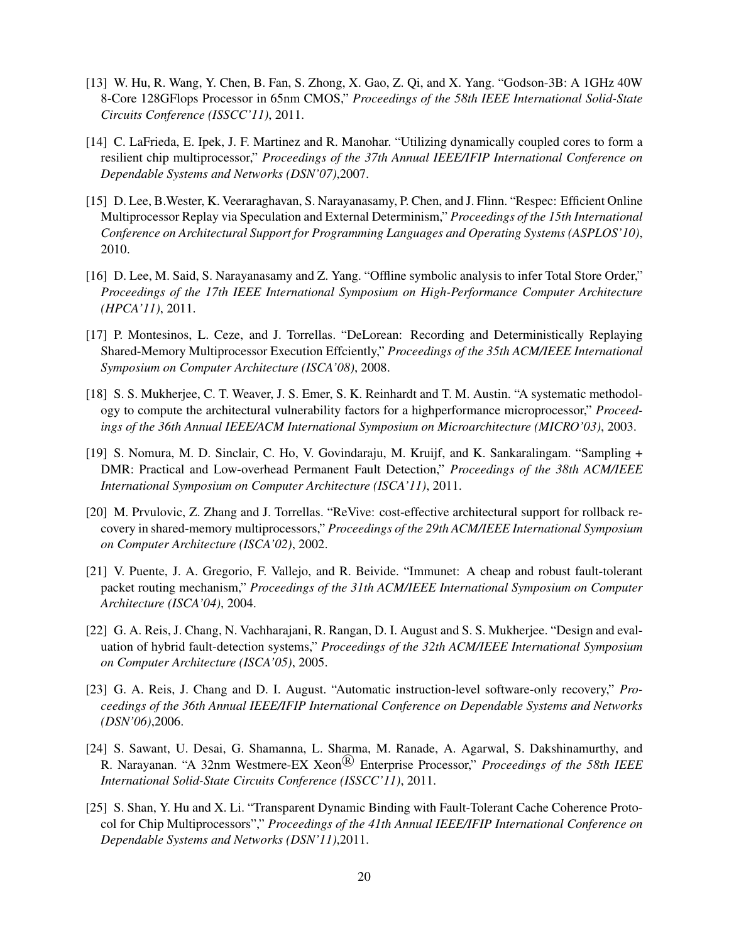- [13] W. Hu, R. Wang, Y. Chen, B. Fan, S. Zhong, X. Gao, Z. Qi, and X. Yang. "Godson-3B: A 1GHz 40W 8-Core 128GFlops Processor in 65nm CMOS," *Proceedings of the 58th IEEE International Solid-State Circuits Conference (ISSCC'11)*, 2011.
- <span id="page-20-1"></span>[14] C. LaFrieda, E. Ipek, J. F. Martinez and R. Manohar. "Utilizing dynamically coupled cores to form a resilient chip multiprocessor," *Proceedings of the 37th Annual IEEE/IFIP International Conference on Dependable Systems and Networks (DSN'07)*,2007.
- <span id="page-20-9"></span>[15] D. Lee, B.Wester, K. Veeraraghavan, S. Narayanasamy, P. Chen, and J. Flinn. "Respec: Efficient Online Multiprocessor Replay via Speculation and External Determinism," *Proceedings of the 15th International Conference on Architectural Support for Programming Languages and Operating Systems (ASPLOS'10)*, 2010.
- <span id="page-20-10"></span>[16] D. Lee, M. Said, S. Narayanasamy and Z. Yang. "Offline symbolic analysis to infer Total Store Order," *Proceedings of the 17th IEEE International Symposium on High-Performance Computer Architecture (HPCA'11)*, 2011.
- <span id="page-20-5"></span>[17] P. Montesinos, L. Ceze, and J. Torrellas. "DeLorean: Recording and Deterministically Replaying Shared-Memory Multiprocessor Execution Effciently," *Proceedings of the 35th ACM/IEEE International Symposium on Computer Architecture (ISCA'08)*, 2008.
- <span id="page-20-0"></span>[18] S. S. Mukherjee, C. T. Weaver, J. S. Emer, S. K. Reinhardt and T. M. Austin. "A systematic methodology to compute the architectural vulnerability factors for a highperformance microprocessor," *Proceedings of the 36th Annual IEEE/ACM International Symposium on Microarchitecture (MICRO'03)*, 2003.
- <span id="page-20-11"></span>[19] S. Nomura, M. D. Sinclair, C. Ho, V. Govindaraju, M. Kruijf, and K. Sankaralingam. "Sampling + DMR: Practical and Low-overhead Permanent Fault Detection," *Proceedings of the 38th ACM/IEEE International Symposium on Computer Architecture (ISCA'11)*, 2011.
- <span id="page-20-3"></span>[20] M. Prvulovic, Z. Zhang and J. Torrellas. "ReVive: cost-effective architectural support for rollback recovery in shared-memory multiprocessors," *Proceedings of the 29th ACM/IEEE International Symposium on Computer Architecture (ISCA'02)*, 2002.
- <span id="page-20-8"></span>[21] V. Puente, J. A. Gregorio, F. Vallejo, and R. Beivide. "Immunet: A cheap and robust fault-tolerant packet routing mechanism," *Proceedings of the 31th ACM/IEEE International Symposium on Computer Architecture (ISCA'04)*, 2004.
- <span id="page-20-6"></span>[22] G. A. Reis, J. Chang, N. Vachharajani, R. Rangan, D. I. August and S. S. Mukherjee. "Design and evaluation of hybrid fault-detection systems," *Proceedings of the 32th ACM/IEEE International Symposium on Computer Architecture (ISCA'05)*, 2005.
- <span id="page-20-7"></span>[23] G. A. Reis, J. Chang and D. I. August. "Automatic instruction-level software-only recovery," *Proceedings of the 36th Annual IEEE/IFIP International Conference on Dependable Systems and Networks (DSN'06)*,2006.
- <span id="page-20-4"></span>[24] S. Sawant, U. Desai, G. Shamanna, L. Sharma, M. Ranade, A. Agarwal, S. Dakshinamurthy, and R. Narayanan. "A 32nm Westmere-EX Xeon<sup>(B)</sup> Enterprise Processor," *Proceedings of the 58th IEEE International Solid-State Circuits Conference (ISSCC'11)*, 2011.
- <span id="page-20-2"></span>[25] S. Shan, Y. Hu and X. Li. "Transparent Dynamic Binding with Fault-Tolerant Cache Coherence Protocol for Chip Multiprocessors"," *Proceedings of the 41th Annual IEEE/IFIP International Conference on Dependable Systems and Networks (DSN'11)*,2011.